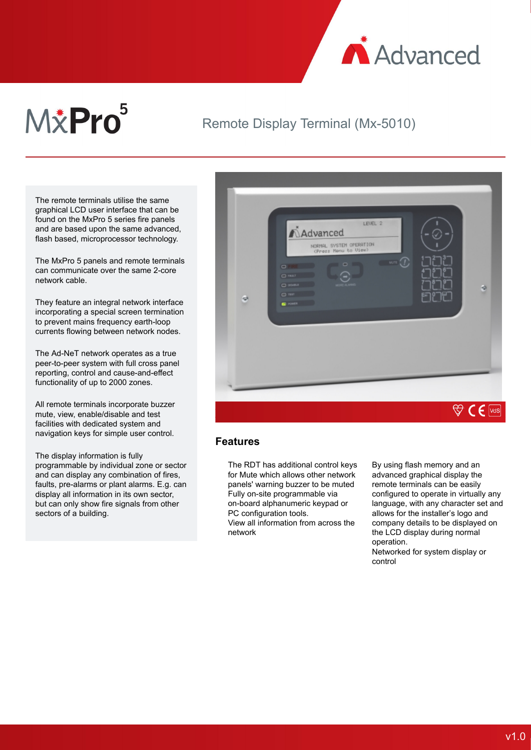

# M&Pro<sup>5</sup>

## Remote Display Terminal (Mx-5010)

The remote terminals utilise the same graphical LCD user interface that can be found on the MxPro 5 series fire panels and are based upon the same advanced, flash based, microprocessor technology.

The MxPro 5 panels and remote terminals can communicate over the same 2-core network cable.

They feature an integral network interface incorporating a special screen termination to prevent mains frequency earth-loop currents flowing between network nodes.

The Ad-NeT network operates as a true peer-to-peer system with full cross panel reporting, control and cause-and-effect functionality of up to 2000 zones.

All remote terminals incorporate buzzer mute, view, enable/disable and test facilities with dedicated system and navigation keys for simple user control.

The display information is fully programmable by individual zone or sector and can display any combination of fires, faults, pre-alarms or plant alarms. E.g. can display all information in its own sector, but can only show fire signals from other sectors of a building.



#### **Features**

The RDT has additional control keys for Mute which allows other network panels' warning buzzer to be muted Fully on-site programmable via on-board alphanumeric keypad or PC configuration tools.

View all information from across the network

By using flash memory and an advanced graphical display the remote terminals can be easily configured to operate in virtually any language, with any character set and allows for the installer's logo and company details to be displayed on the LCD display during normal operation.

Networked for system display or control